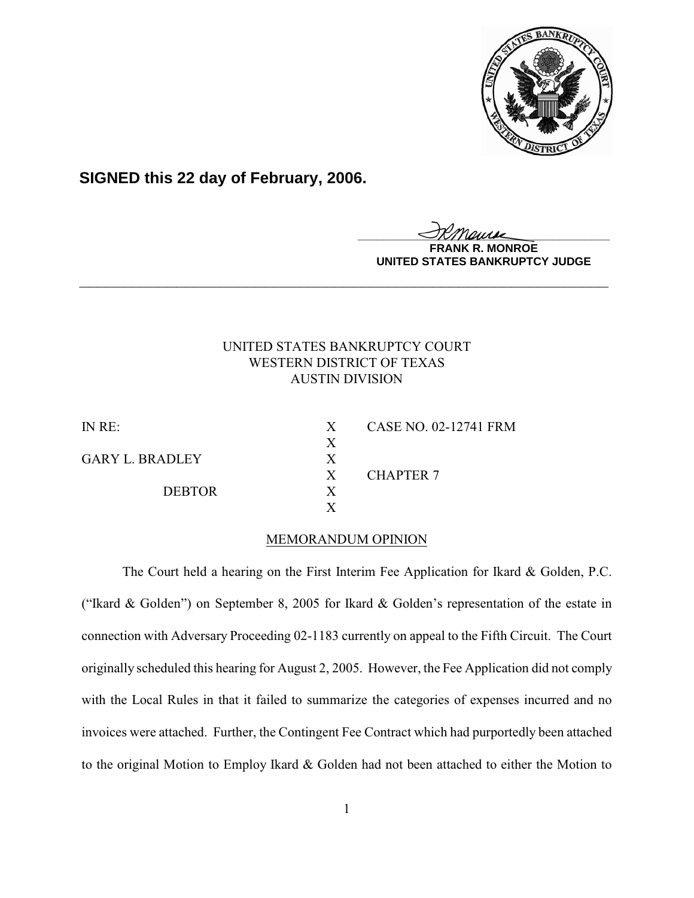

**SIGNED this 22 day of February, 2006.**

**\_\_\_\_\_\_\_\_\_\_\_\_\_\_\_\_\_\_\_\_\_\_\_\_\_\_\_\_\_\_\_\_\_\_\_\_\_\_\_\_**

**MONROE UNITED STATES BANKRUPTCY JUDGE**

# UNITED STATES BANKRUPTCY COURT WESTERN DISTRICT OF TEXAS AUSTIN DIVISION

**\_\_\_\_\_\_\_\_\_\_\_\_\_\_\_\_\_\_\_\_\_\_\_\_\_\_\_\_\_\_\_\_\_\_\_\_\_\_\_\_\_\_\_\_\_\_\_\_\_\_\_\_\_\_\_\_\_\_\_\_**

X

X

GARY L. BRADLEY X

DEBTOR X

IN RE: X CASE NO. 02-12741 FRM X CHAPTER 7

## MEMORANDUM OPINION

The Court held a hearing on the First Interim Fee Application for Ikard & Golden, P.C. ("Ikard & Golden") on September 8, 2005 for Ikard & Golden's representation of the estate in connection with Adversary Proceeding 02-1183 currently on appeal to the Fifth Circuit. The Court originally scheduled this hearing for August 2, 2005. However, the Fee Application did not comply with the Local Rules in that it failed to summarize the categories of expenses incurred and no invoices were attached. Further, the Contingent Fee Contract which had purportedly been attached to the original Motion to Employ Ikard & Golden had not been attached to either the Motion to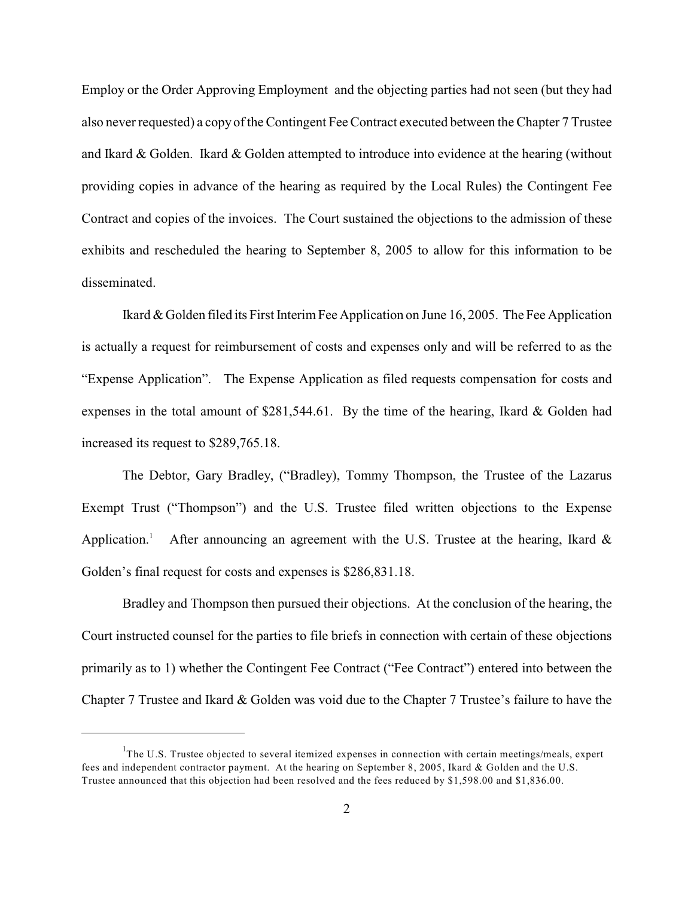Employ or the Order Approving Employment and the objecting parties had not seen (but they had also neverrequested) a copy of the Contingent Fee Contract executed between the Chapter 7 Trustee and Ikard & Golden. Ikard & Golden attempted to introduce into evidence at the hearing (without providing copies in advance of the hearing as required by the Local Rules) the Contingent Fee Contract and copies of the invoices. The Court sustained the objections to the admission of these exhibits and rescheduled the hearing to September 8, 2005 to allow for this information to be disseminated.

Ikard & Golden filed its First Interim Fee Application on June 16, 2005. The Fee Application is actually a request for reimbursement of costs and expenses only and will be referred to as the "Expense Application". The Expense Application as filed requests compensation for costs and expenses in the total amount of \$281,544.61. By the time of the hearing, Ikard & Golden had increased its request to \$289,765.18.

The Debtor, Gary Bradley, ("Bradley), Tommy Thompson, the Trustee of the Lazarus Exempt Trust ("Thompson") and the U.S. Trustee filed written objections to the Expense Application.<sup>1</sup> After announcing an agreement with the U.S. Trustee at the hearing, Ikard  $\&$ Golden's final request for costs and expenses is \$286,831.18.

Bradley and Thompson then pursued their objections. At the conclusion of the hearing, the Court instructed counsel for the parties to file briefs in connection with certain of these objections primarily as to 1) whether the Contingent Fee Contract ("Fee Contract") entered into between the Chapter 7 Trustee and Ikard & Golden was void due to the Chapter 7 Trustee's failure to have the

The U.S. Trustee objected to several itemized expenses in connection with certain meetings/meals, expert fees and independent contractor payment. At the hearing on September 8, 2005, Ikard & Golden and the U.S. Trustee announced that this objection had been resolved and the fees reduced by \$1,598.00 and \$1,836.00.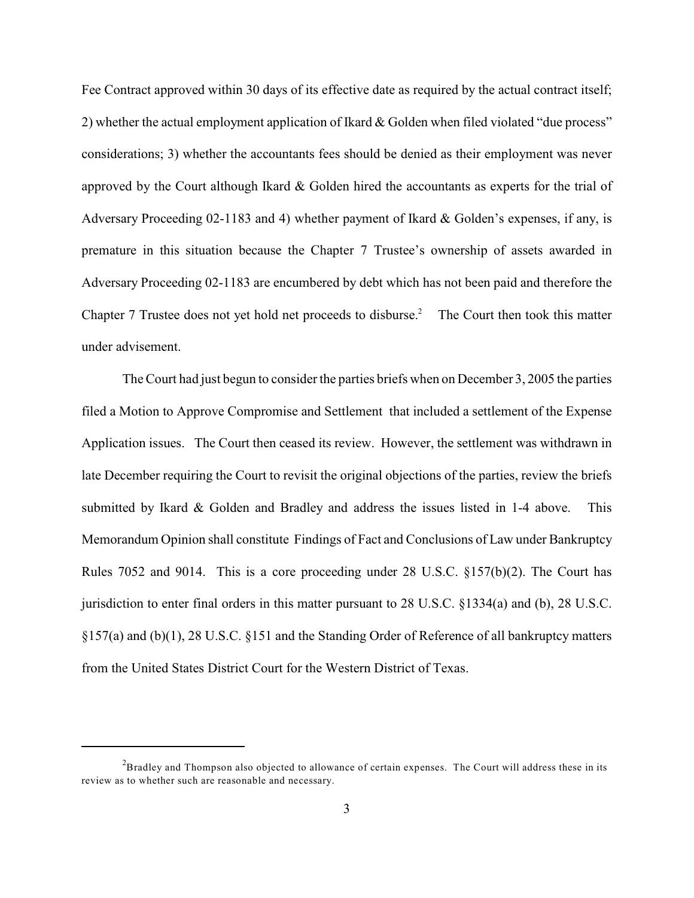Fee Contract approved within 30 days of its effective date as required by the actual contract itself; 2) whether the actual employment application of Ikard & Golden when filed violated "due process" considerations; 3) whether the accountants fees should be denied as their employment was never approved by the Court although Ikard & Golden hired the accountants as experts for the trial of Adversary Proceeding 02-1183 and 4) whether payment of Ikard & Golden's expenses, if any, is premature in this situation because the Chapter 7 Trustee's ownership of assets awarded in Adversary Proceeding 02-1183 are encumbered by debt which has not been paid and therefore the Chapter 7 Trustee does not yet hold net proceeds to disburse.<sup>2</sup> The Court then took this matter under advisement.

The Court had just begun to consider the parties briefs when on December 3, 2005 the parties filed a Motion to Approve Compromise and Settlement that included a settlement of the Expense Application issues. The Court then ceased its review. However, the settlement was withdrawn in late December requiring the Court to revisit the original objections of the parties, review the briefs submitted by Ikard & Golden and Bradley and address the issues listed in 1-4 above. This Memorandum Opinion shall constitute Findings of Fact and Conclusions of Law under Bankruptcy Rules 7052 and 9014. This is a core proceeding under 28 U.S.C. §157(b)(2). The Court has jurisdiction to enter final orders in this matter pursuant to 28 U.S.C. §1334(a) and (b), 28 U.S.C. §157(a) and (b)(1), 28 U.S.C. §151 and the Standing Order of Reference of all bankruptcy matters from the United States District Court for the Western District of Texas.

 $B<sup>2</sup>B$  and Thompson also objected to allowance of certain expenses. The Court will address these in its review as to whether such are reasonable and necessary.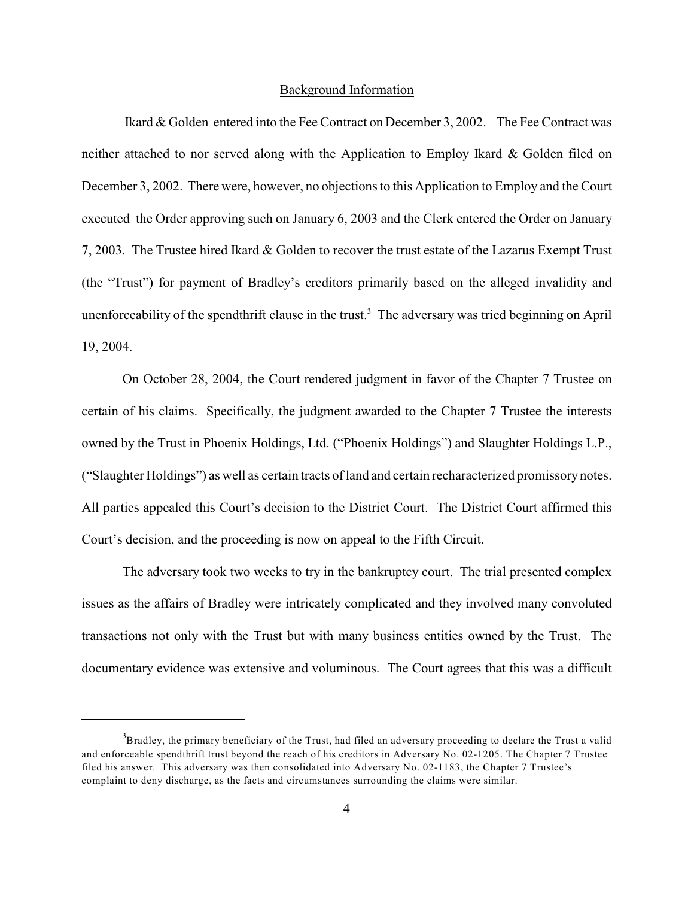#### Background Information

 Ikard & Golden entered into the Fee Contract on December 3, 2002. The Fee Contract was neither attached to nor served along with the Application to Employ Ikard & Golden filed on December 3, 2002. There were, however, no objections to this Application to Employ and the Court executed the Order approving such on January 6, 2003 and the Clerk entered the Order on January 7, 2003. The Trustee hired Ikard & Golden to recover the trust estate of the Lazarus Exempt Trust (the "Trust") for payment of Bradley's creditors primarily based on the alleged invalidity and unenforceability of the spendthrift clause in the trust.<sup>3</sup> The adversary was tried beginning on April 19, 2004.

On October 28, 2004, the Court rendered judgment in favor of the Chapter 7 Trustee on certain of his claims. Specifically, the judgment awarded to the Chapter 7 Trustee the interests owned by the Trust in Phoenix Holdings, Ltd. ("Phoenix Holdings") and Slaughter Holdings L.P., ("Slaughter Holdings") as well as certain tracts of land and certain recharacterized promissory notes. All parties appealed this Court's decision to the District Court. The District Court affirmed this Court's decision, and the proceeding is now on appeal to the Fifth Circuit.

The adversary took two weeks to try in the bankruptcy court. The trial presented complex issues as the affairs of Bradley were intricately complicated and they involved many convoluted transactions not only with the Trust but with many business entities owned by the Trust. The documentary evidence was extensive and voluminous. The Court agrees that this was a difficult

 ${}^{3}$ Bradley, the primary beneficiary of the Trust, had filed an adversary proceeding to declare the Trust a valid and enforceable spendthrift trust beyond the reach of his creditors in Adversary No. 02-1205. The Chapter 7 Trustee filed his answer. This adversary was then consolidated into Adversary No. 02-1183, the Chapter 7 Trustee's complaint to deny discharge, as the facts and circumstances surrounding the claims were similar.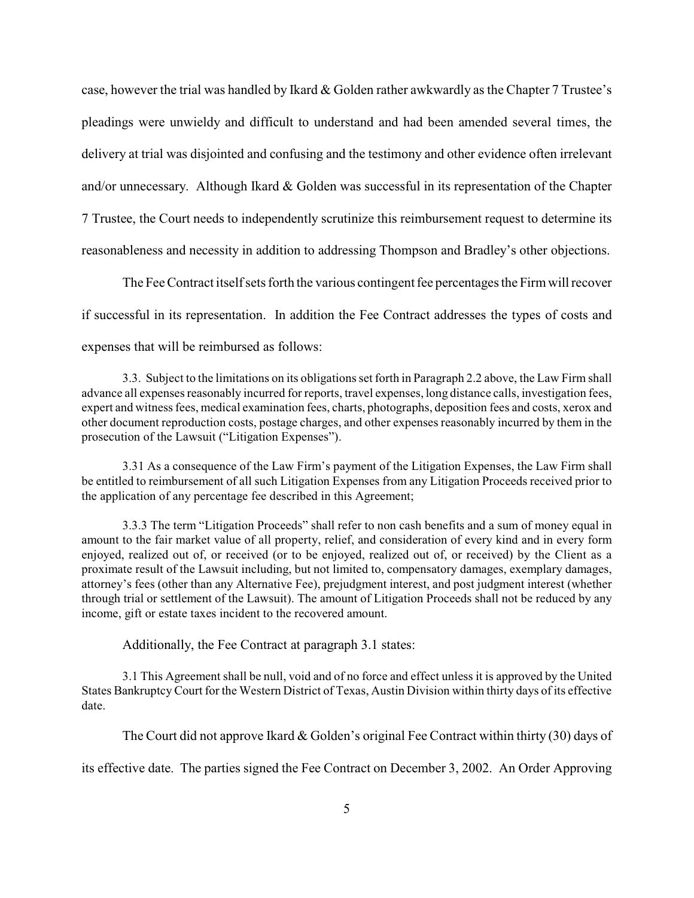case, however the trial was handled by Ikard & Golden rather awkwardly as the Chapter 7 Trustee's pleadings were unwieldy and difficult to understand and had been amended several times, the delivery at trial was disjointed and confusing and the testimony and other evidence often irrelevant and/or unnecessary. Although Ikard & Golden was successful in its representation of the Chapter 7 Trustee, the Court needs to independently scrutinize this reimbursement request to determine its reasonableness and necessity in addition to addressing Thompson and Bradley's other objections.

The Fee Contract itself sets forth the various contingent fee percentages the Firm will recover if successful in its representation. In addition the Fee Contract addresses the types of costs and expenses that will be reimbursed as follows:

3.3. Subject to the limitations on its obligationsset forth in Paragraph 2.2 above, the Law Firm shall advance all expenses reasonably incurred for reports, travel expenses, long distance calls, investigation fees, expert and witness fees, medical examination fees, charts, photographs, deposition fees and costs, xerox and other document reproduction costs, postage charges, and other expenses reasonably incurred by them in the prosecution of the Lawsuit ("Litigation Expenses").

3.31 As a consequence of the Law Firm's payment of the Litigation Expenses, the Law Firm shall be entitled to reimbursement of all such Litigation Expenses from any Litigation Proceeds received prior to the application of any percentage fee described in this Agreement;

3.3.3 The term "Litigation Proceeds" shall refer to non cash benefits and a sum of money equal in amount to the fair market value of all property, relief, and consideration of every kind and in every form enjoyed, realized out of, or received (or to be enjoyed, realized out of, or received) by the Client as a proximate result of the Lawsuit including, but not limited to, compensatory damages, exemplary damages, attorney's fees (other than any Alternative Fee), prejudgment interest, and post judgment interest (whether through trial or settlement of the Lawsuit). The amount of Litigation Proceeds shall not be reduced by any income, gift or estate taxes incident to the recovered amount.

Additionally, the Fee Contract at paragraph 3.1 states:

3.1 This Agreement shall be null, void and of no force and effect unless it is approved by the United States Bankruptcy Court for the Western District of Texas, Austin Division within thirty days of its effective date.

The Court did not approve Ikard & Golden's original Fee Contract within thirty (30) days of

its effective date. The parties signed the Fee Contract on December 3, 2002. An Order Approving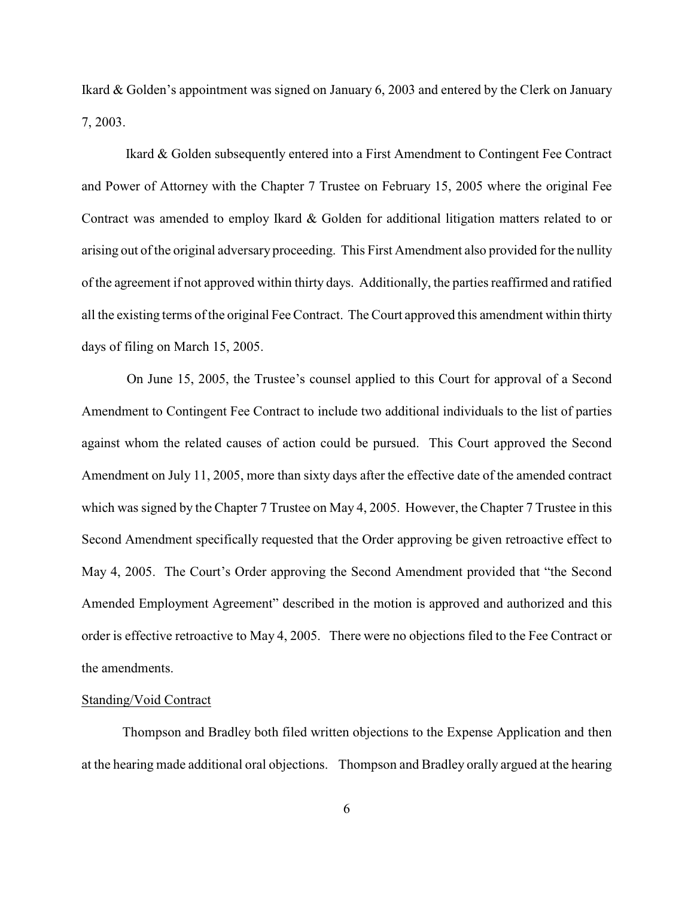Ikard & Golden's appointment was signed on January 6, 2003 and entered by the Clerk on January 7, 2003.

Ikard & Golden subsequently entered into a First Amendment to Contingent Fee Contract and Power of Attorney with the Chapter 7 Trustee on February 15, 2005 where the original Fee Contract was amended to employ Ikard & Golden for additional litigation matters related to or arising out of the original adversary proceeding. This First Amendment also provided for the nullity of the agreement if not approved within thirty days. Additionally, the parties reaffirmed and ratified all the existing terms ofthe original FeeContract. TheCourt approved this amendment within thirty days of filing on March 15, 2005.

 On June 15, 2005, the Trustee's counsel applied to this Court for approval of a Second Amendment to Contingent Fee Contract to include two additional individuals to the list of parties against whom the related causes of action could be pursued. This Court approved the Second Amendment on July 11, 2005, more than sixty days after the effective date of the amended contract which was signed by the Chapter 7 Trustee on May 4, 2005. However, the Chapter 7 Trustee in this Second Amendment specifically requested that the Order approving be given retroactive effect to May 4, 2005. The Court's Order approving the Second Amendment provided that "the Second Amended Employment Agreement" described in the motion is approved and authorized and this order is effective retroactive to May 4, 2005. There were no objections filed to the Fee Contract or the amendments.

#### Standing/Void Contract

Thompson and Bradley both filed written objections to the Expense Application and then at the hearing made additional oral objections. Thompson and Bradley orally argued at the hearing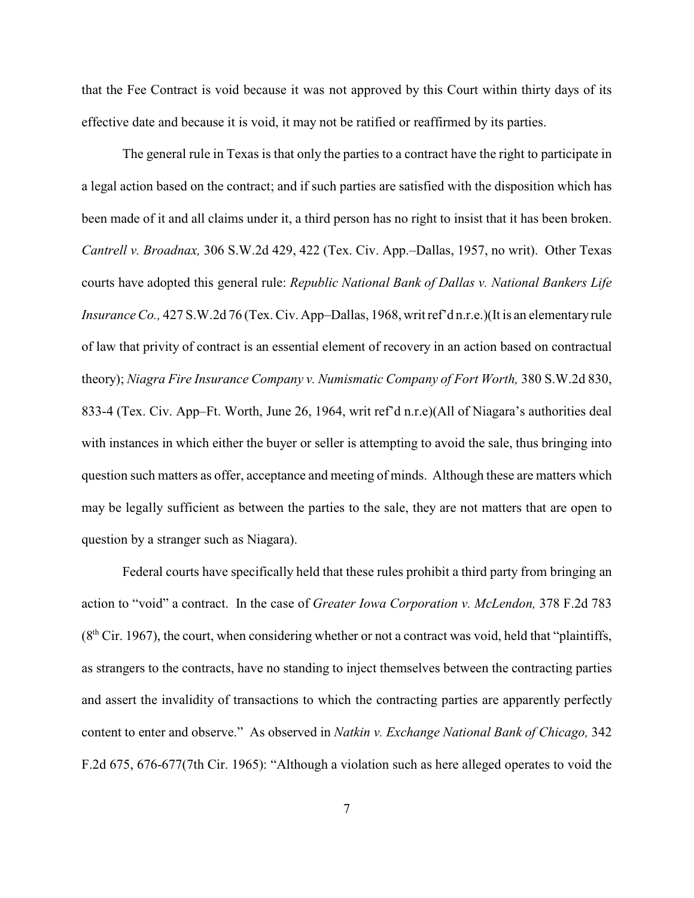that the Fee Contract is void because it was not approved by this Court within thirty days of its effective date and because it is void, it may not be ratified or reaffirmed by its parties.

The general rule in Texas is that only the parties to a contract have the right to participate in a legal action based on the contract; and if such parties are satisfied with the disposition which has been made of it and all claims under it, a third person has no right to insist that it has been broken. *Cantrell v. Broadnax,* 306 S.W.2d 429, 422 (Tex. Civ. App.–Dallas, 1957, no writ). Other Texas courts have adopted this general rule: *Republic National Bank of Dallas v. National Bankers Life Insurance Co.,* 427 S.W.2d 76 (Tex. Civ. App–Dallas, 1968, writ ref'd n.r.e.)(It is an elementary rule of law that privity of contract is an essential element of recovery in an action based on contractual theory); *Niagra Fire Insurance Company v. Numismatic Company of Fort Worth,* 380 S.W.2d 830, 833-4 (Tex. Civ. App–Ft. Worth, June 26, 1964, writ ref'd n.r.e)(All of Niagara's authorities deal with instances in which either the buyer or seller is attempting to avoid the sale, thus bringing into question such matters as offer, acceptance and meeting of minds. Although these are matters which may be legally sufficient as between the parties to the sale, they are not matters that are open to question by a stranger such as Niagara).

Federal courts have specifically held that these rules prohibit a third party from bringing an action to "void" a contract. In the case of *Greater Iowa Corporation v. McLendon,* 378 F.2d 783  $(8<sup>th</sup> Cir. 1967)$ , the court, when considering whether or not a contract was void, held that "plaintiffs, as strangers to the contracts, have no standing to inject themselves between the contracting parties and assert the invalidity of transactions to which the contracting parties are apparently perfectly content to enter and observe." As observed in *Natkin v. Exchange National Bank of Chicago,* 342 F.2d 675, 676-677(7th Cir. 1965): "Although a violation such as here alleged operates to void the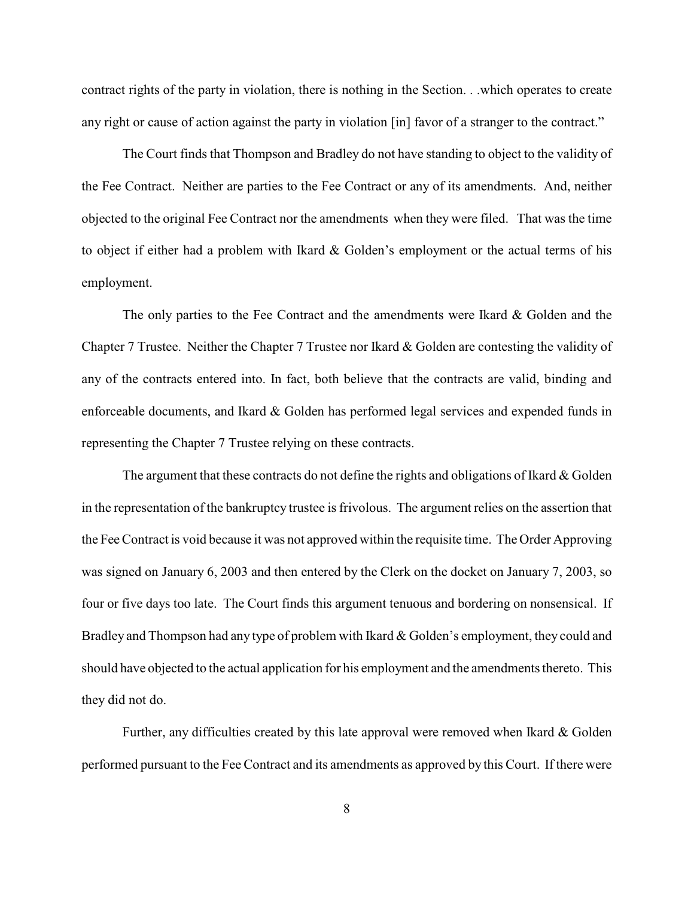contract rights of the party in violation, there is nothing in the Section. . .which operates to create any right or cause of action against the party in violation [in] favor of a stranger to the contract."

The Court finds that Thompson and Bradley do not have standing to object to the validity of the Fee Contract. Neither are parties to the Fee Contract or any of its amendments. And, neither objected to the original Fee Contract nor the amendments when they were filed. That was the time to object if either had a problem with Ikard & Golden's employment or the actual terms of his employment.

The only parties to the Fee Contract and the amendments were Ikard  $\&$  Golden and the Chapter 7 Trustee. Neither the Chapter 7 Trustee nor Ikard & Golden are contesting the validity of any of the contracts entered into. In fact, both believe that the contracts are valid, binding and enforceable documents, and Ikard & Golden has performed legal services and expended funds in representing the Chapter 7 Trustee relying on these contracts.

The argument that these contracts do not define the rights and obligations of Ikard  $\&$  Golden in the representation of the bankruptcy trustee is frivolous. The argument relies on the assertion that the Fee Contract is void because it was not approved within the requisite time. The Order Approving was signed on January 6, 2003 and then entered by the Clerk on the docket on January 7, 2003, so four or five days too late. The Court finds this argument tenuous and bordering on nonsensical. If Bradley and Thompson had any type of problem with Ikard & Golden's employment, they could and should have objected to the actual application for his employment and the amendments thereto. This they did not do.

Further, any difficulties created by this late approval were removed when Ikard & Golden performed pursuant to the Fee Contract and its amendments as approved by this Court. If there were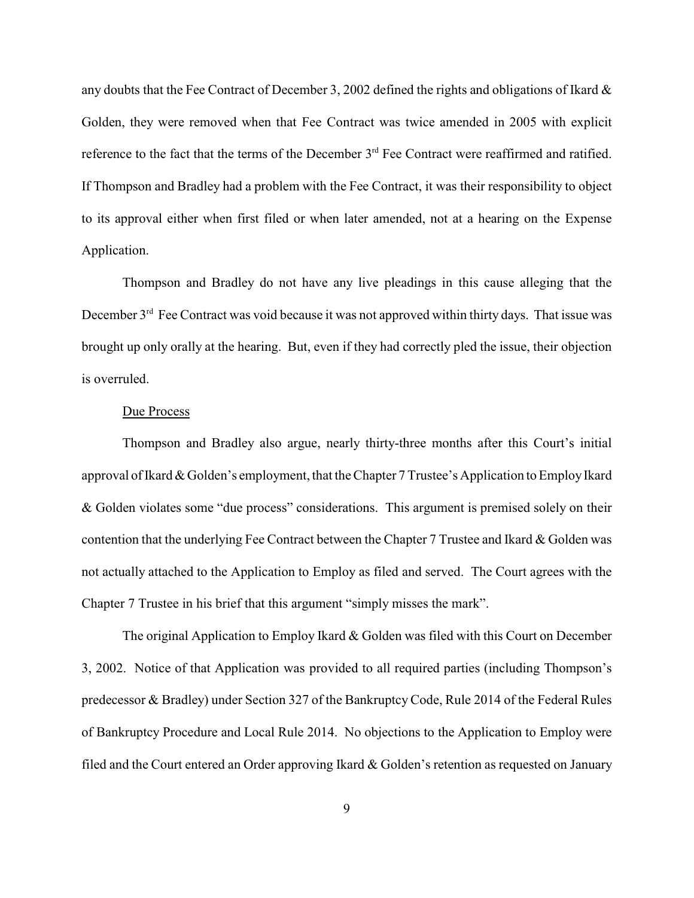any doubts that the Fee Contract of December 3, 2002 defined the rights and obligations of Ikard & Golden, they were removed when that Fee Contract was twice amended in 2005 with explicit reference to the fact that the terms of the December 3<sup>rd</sup> Fee Contract were reaffirmed and ratified. If Thompson and Bradley had a problem with the Fee Contract, it was their responsibility to object to its approval either when first filed or when later amended, not at a hearing on the Expense Application.

Thompson and Bradley do not have any live pleadings in this cause alleging that the December  $3<sup>rd</sup>$  Fee Contract was void because it was not approved within thirty days. That issue was brought up only orally at the hearing. But, even if they had correctly pled the issue, their objection is overruled.

## Due Process

Thompson and Bradley also argue, nearly thirty-three months after this Court's initial approval of Ikard & Golden's employment, that the Chapter 7 Trustee's Application to Employ Ikard & Golden violates some "due process" considerations. This argument is premised solely on their contention that the underlying Fee Contract between the Chapter 7 Trustee and Ikard  $\&$  Golden was not actually attached to the Application to Employ as filed and served. The Court agrees with the Chapter 7 Trustee in his brief that this argument "simply misses the mark".

The original Application to Employ Ikard  $&$  Golden was filed with this Court on December 3, 2002. Notice of that Application was provided to all required parties (including Thompson's predecessor & Bradley) under Section 327 of the BankruptcyCode, Rule 2014 of the Federal Rules of Bankruptcy Procedure and Local Rule 2014. No objections to the Application to Employ were filed and the Court entered an Order approving Ikard & Golden's retention as requested on January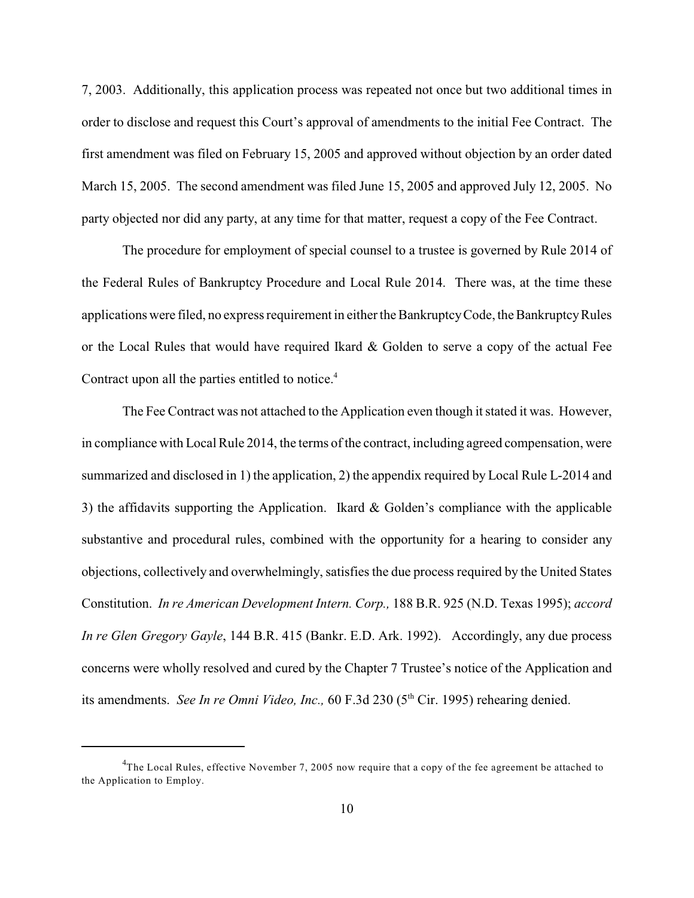7, 2003. Additionally, this application process was repeated not once but two additional times in order to disclose and request this Court's approval of amendments to the initial Fee Contract. The first amendment was filed on February 15, 2005 and approved without objection by an order dated March 15, 2005. The second amendment was filed June 15, 2005 and approved July 12, 2005. No party objected nor did any party, at any time for that matter, request a copy of the Fee Contract.

The procedure for employment of special counsel to a trustee is governed by Rule 2014 of the Federal Rules of Bankruptcy Procedure and Local Rule 2014. There was, at the time these applications were filed, no express requirement in either the Bankruptcy Code, the Bankruptcy Rules or the Local Rules that would have required Ikard & Golden to serve a copy of the actual Fee Contract upon all the parties entitled to notice.<sup>4</sup>

The Fee Contract was not attached to the Application even though it stated it was. However, in compliance with Local Rule 2014, the terms of the contract, including agreed compensation, were summarized and disclosed in 1) the application, 2) the appendix required by Local Rule L-2014 and 3) the affidavits supporting the Application. Ikard & Golden's compliance with the applicable substantive and procedural rules, combined with the opportunity for a hearing to consider any objections, collectively and overwhelmingly, satisfies the due process required by the United States Constitution. *In re American Development Intern. Corp.,* 188 B.R. 925 (N.D. Texas 1995); *accord In re Glen Gregory Gayle*, 144 B.R. 415 (Bankr. E.D. Ark. 1992). Accordingly, any due process concerns were wholly resolved and cured by the Chapter 7 Trustee's notice of the Application and its amendments. *See In re Omni Video, Inc.*, 60 F.3d 230 (5<sup>th</sup> Cir. 1995) rehearing denied.

<sup>&</sup>lt;sup>4</sup>The Local Rules, effective November 7, 2005 now require that a copy of the fee agreement be attached to the Application to Employ.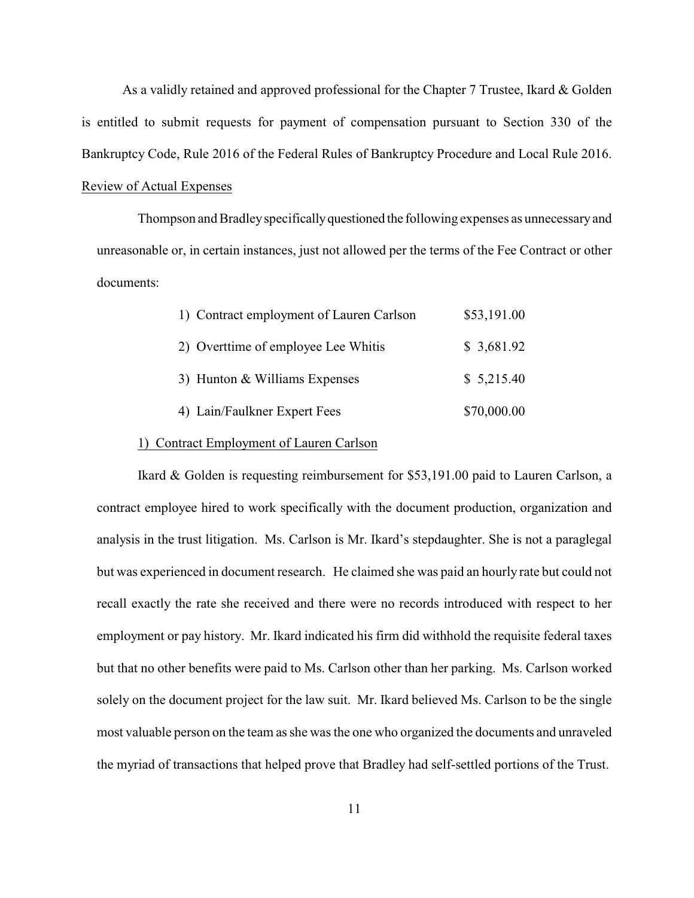As a validly retained and approved professional for the Chapter 7 Trustee, Ikard & Golden is entitled to submit requests for payment of compensation pursuant to Section 330 of the Bankruptcy Code, Rule 2016 of the Federal Rules of Bankruptcy Procedure and Local Rule 2016. Review of Actual Expenses

Thompson and Bradley specifically questioned the following expenses as unnecessary and unreasonable or, in certain instances, just not allowed per the terms of the Fee Contract or other documents:

| 1) Contract employment of Lauren Carlson | \$53,191.00 |
|------------------------------------------|-------------|
| 2) Overttime of employee Lee Whitis      | \$3,681.92  |
| 3) Hunton & Williams Expenses            | \$5,215.40  |
| 4) Lain/Faulkner Expert Fees             | \$70,000.00 |

#### 1) Contract Employment of Lauren Carlson

Ikard & Golden is requesting reimbursement for \$53,191.00 paid to Lauren Carlson, a contract employee hired to work specifically with the document production, organization and analysis in the trust litigation. Ms. Carlson is Mr. Ikard's stepdaughter. She is not a paraglegal but was experienced in document research. He claimed she was paid an hourly rate but could not recall exactly the rate she received and there were no records introduced with respect to her employment or pay history. Mr. Ikard indicated his firm did withhold the requisite federal taxes but that no other benefits were paid to Ms. Carlson other than her parking. Ms. Carlson worked solely on the document project for the law suit. Mr. Ikard believed Ms. Carlson to be the single most valuable person on the team as she was the one who organized the documents and unraveled the myriad of transactions that helped prove that Bradley had self-settled portions of the Trust.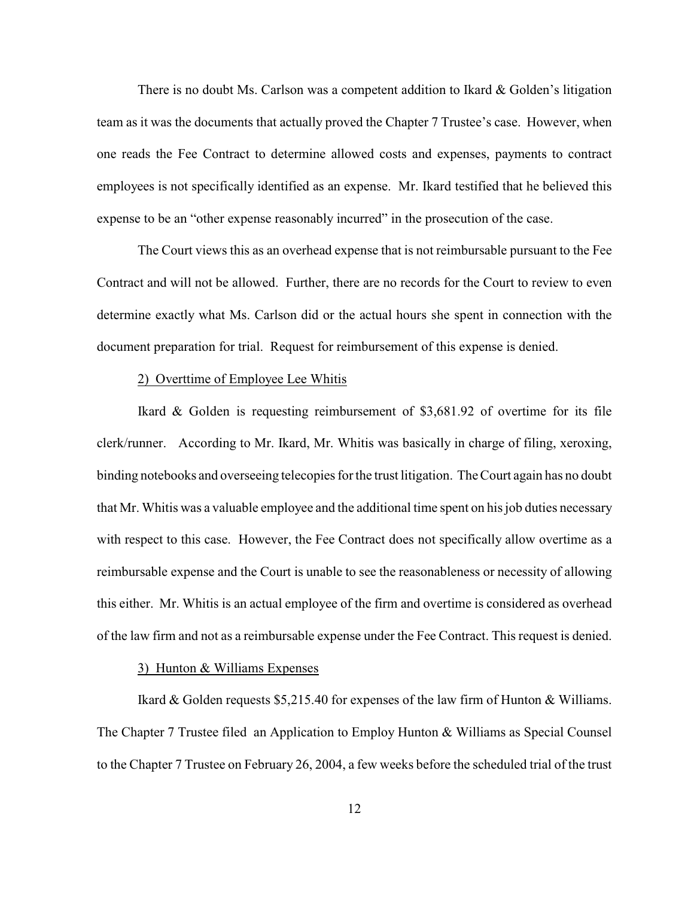There is no doubt Ms. Carlson was a competent addition to Ikard & Golden's litigation team as it was the documents that actually proved the Chapter 7 Trustee's case. However, when one reads the Fee Contract to determine allowed costs and expenses, payments to contract employees is not specifically identified as an expense. Mr. Ikard testified that he believed this expense to be an "other expense reasonably incurred" in the prosecution of the case.

The Court views this as an overhead expense that is not reimbursable pursuant to the Fee Contract and will not be allowed. Further, there are no records for the Court to review to even determine exactly what Ms. Carlson did or the actual hours she spent in connection with the document preparation for trial. Request for reimbursement of this expense is denied.

#### 2) Overttime of Employee Lee Whitis

Ikard & Golden is requesting reimbursement of \$3,681.92 of overtime for its file clerk/runner. According to Mr. Ikard, Mr. Whitis was basically in charge of filing, xeroxing, binding notebooks and overseeing telecopies for the trust litigation. The Court again has no doubt that Mr. Whitis was a valuable employee and the additional time spent on his job duties necessary with respect to this case. However, the Fee Contract does not specifically allow overtime as a reimbursable expense and the Court is unable to see the reasonableness or necessity of allowing this either. Mr. Whitis is an actual employee of the firm and overtime is considered as overhead of the law firm and not as a reimbursable expense under the Fee Contract. This request is denied.

#### 3) Hunton & Williams Expenses

Ikard & Golden requests \$5,215.40 for expenses of the law firm of Hunton & Williams. The Chapter 7 Trustee filed an Application to Employ Hunton & Williams as Special Counsel to the Chapter 7 Trustee on February 26, 2004, a few weeks before the scheduled trial of the trust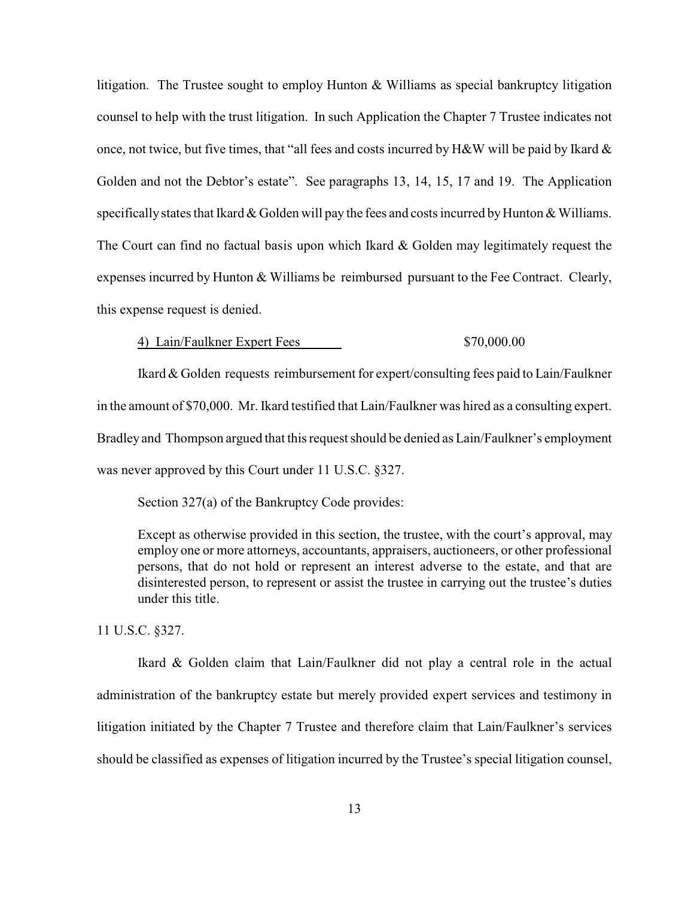litigation. The Trustee sought to employ Hunton & Williams as special bankruptcy litigation counsel to help with the trust litigation. In such Application the Chapter 7 Trustee indicates not once, not twice, but five times, that "all fees and costs incurred by H&W will be paid by Ikard & Golden and not the Debtor's estate". See paragraphs 13, 14, 15, 17 and 19. The Application specifically states that Ikard  $&$  Golden will pay the fees and costs incurred by Hunton  $&$  Williams. The Court can find no factual basis upon which Ikard & Golden may legitimately request the expenses incurred by Hunton & Williams be reimbursed pursuant to the Fee Contract. Clearly, this expense request is denied.

4) Lain/Faulkner Expert Fees \$70,000.00

Ikard & Golden requests reimbursement for expert/consulting fees paid to Lain/Faulkner in the amount of \$70,000. Mr. Ikard testified that Lain/Faulkner was hired as a consulting expert. Bradley and Thompson argued that this request should be denied as Lain/Faulkner's employment was never approved by this Court under 11 U.S.C. §327.

Section 327(a) of the Bankruptcy Code provides:

Except as otherwise provided in this section, the trustee, with the court's approval, may employ one or more attorneys, accountants, appraisers, auctioneers, or other professional persons, that do not hold or represent an interest adverse to the estate, and that are disinterested person, to represent or assist the trustee in carrying out the trustee's duties under this title.

11 U.S.C. §327.

Ikard & Golden claim that Lain/Faulkner did not play a central role in the actual administration of the bankruptcy estate but merely provided expert services and testimony in litigation initiated by the Chapter 7 Trustee and therefore claim that Lain/Faulkner's services should be classified as expenses of litigation incurred by the Trustee's special litigation counsel,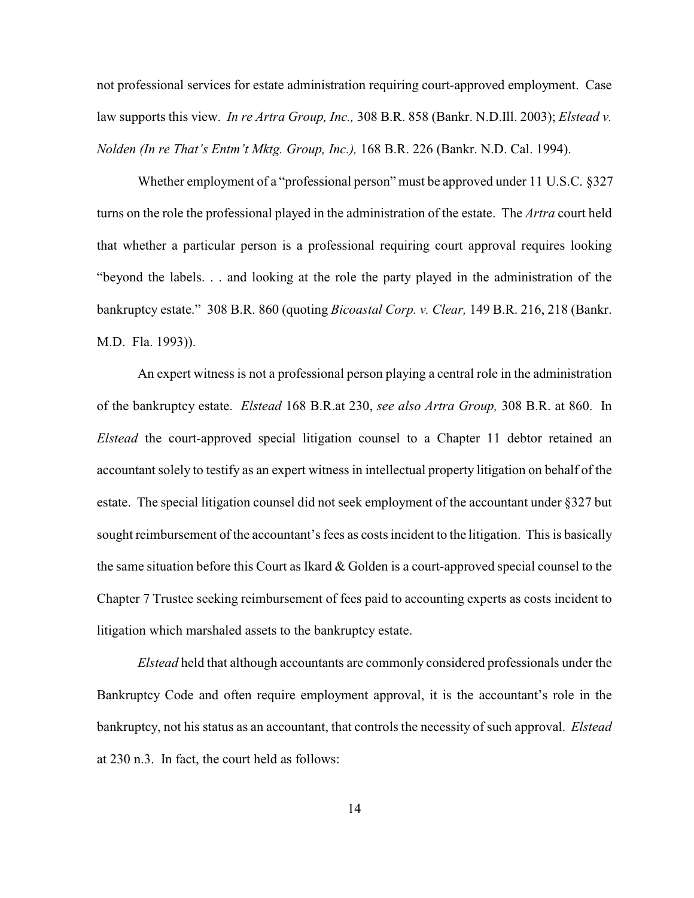not professional services for estate administration requiring court-approved employment. Case law supports this view. *In re Artra Group, Inc.,* 308 B.R. 858 (Bankr. N.D.Ill. 2003); *Elstead v. Nolden (In re That's Entm't Mktg. Group, Inc.),* 168 B.R. 226 (Bankr. N.D. Cal. 1994).

Whether employment of a "professional person" must be approved under 11 U.S.C. §327 turns on the role the professional played in the administration of the estate. The *Artra* court held that whether a particular person is a professional requiring court approval requires looking "beyond the labels. . . and looking at the role the party played in the administration of the bankruptcy estate." 308 B.R. 860 (quoting *Bicoastal Corp. v. Clear,* 149 B.R. 216, 218 (Bankr. M.D. Fla. 1993)).

An expert witness is not a professional person playing a central role in the administration of the bankruptcy estate. *Elstead* 168 B.R.at 230, *see also Artra Group,* 308 B.R. at 860. In *Elstead* the court-approved special litigation counsel to a Chapter 11 debtor retained an accountant solely to testify as an expert witness in intellectual property litigation on behalf of the estate. The special litigation counsel did not seek employment of the accountant under §327 but sought reimbursement of the accountant's fees as costs incident to the litigation. This is basically the same situation before this Court as Ikard  $\&$  Golden is a court-approved special counsel to the Chapter 7 Trustee seeking reimbursement of fees paid to accounting experts as costs incident to litigation which marshaled assets to the bankruptcy estate.

*Elstead* held that although accountants are commonly considered professionals under the Bankruptcy Code and often require employment approval, it is the accountant's role in the bankruptcy, not his status as an accountant, that controls the necessity of such approval. *Elstead* at 230 n.3. In fact, the court held as follows: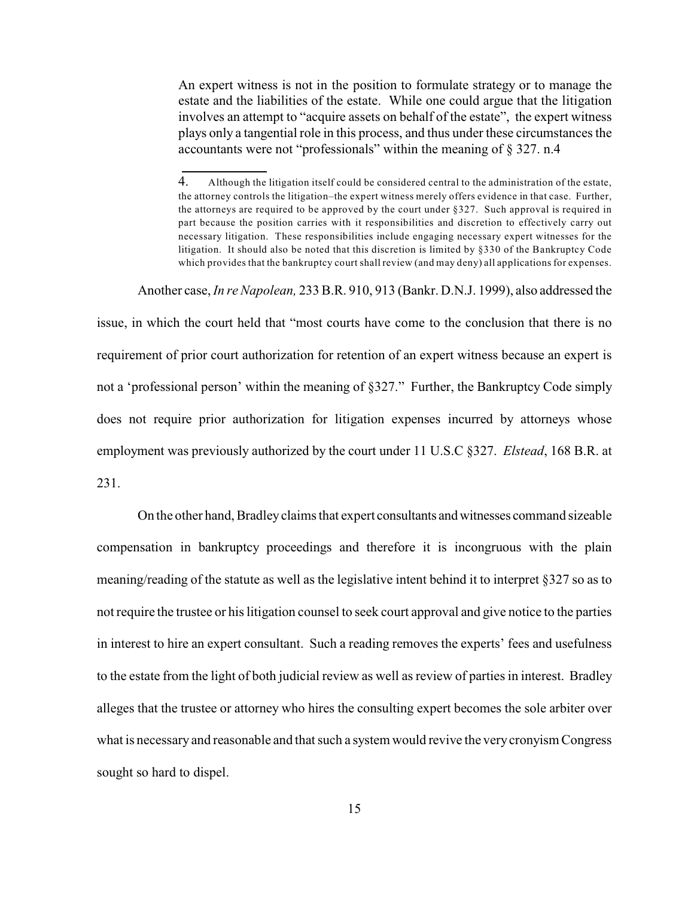An expert witness is not in the position to formulate strategy or to manage the estate and the liabilities of the estate. While one could argue that the litigation involves an attempt to "acquire assets on behalf of the estate", the expert witness plays only a tangential role in this process, and thus under these circumstances the accountants were not "professionals" within the meaning of § 327. n.4

Another case, *In re Napolean,* 233 B.R. 910, 913 (Bankr. D.N.J. 1999), also addressed the

issue, in which the court held that "most courts have come to the conclusion that there is no requirement of prior court authorization for retention of an expert witness because an expert is not a 'professional person' within the meaning of §327." Further, the Bankruptcy Code simply does not require prior authorization for litigation expenses incurred by attorneys whose employment was previously authorized by the court under 11 U.S.C §327. *Elstead*, 168 B.R. at 231.

On the other hand, Bradley claims that expert consultants and witnesses command sizeable compensation in bankruptcy proceedings and therefore it is incongruous with the plain meaning/reading of the statute as well as the legislative intent behind it to interpret §327 so as to not require the trustee or his litigation counsel to seek court approval and give notice to the parties in interest to hire an expert consultant. Such a reading removes the experts' fees and usefulness to the estate from the light of both judicial review as well as review of parties in interest. Bradley alleges that the trustee or attorney who hires the consulting expert becomes the sole arbiter over what is necessary and reasonable and that such a system would revive the very cronyism Congress sought so hard to dispel.

<sup>4.</sup> Although the litigation itself could be considered central to the administration of the estate, the attorney controls the litigation–the expert witness merely offers evidence in that case. Further, the attorneys are required to be approved by the court under §327. Such approval is required in part because the position carries with it responsibilities and discretion to effectively carry out necessary litigation. These responsibilities include engaging necessary expert witnesses for the litigation. It should also be noted that this discretion is limited by §330 of the Bankruptcy Code which provides that the bankruptcy court shall review (and may deny) all applications for expenses.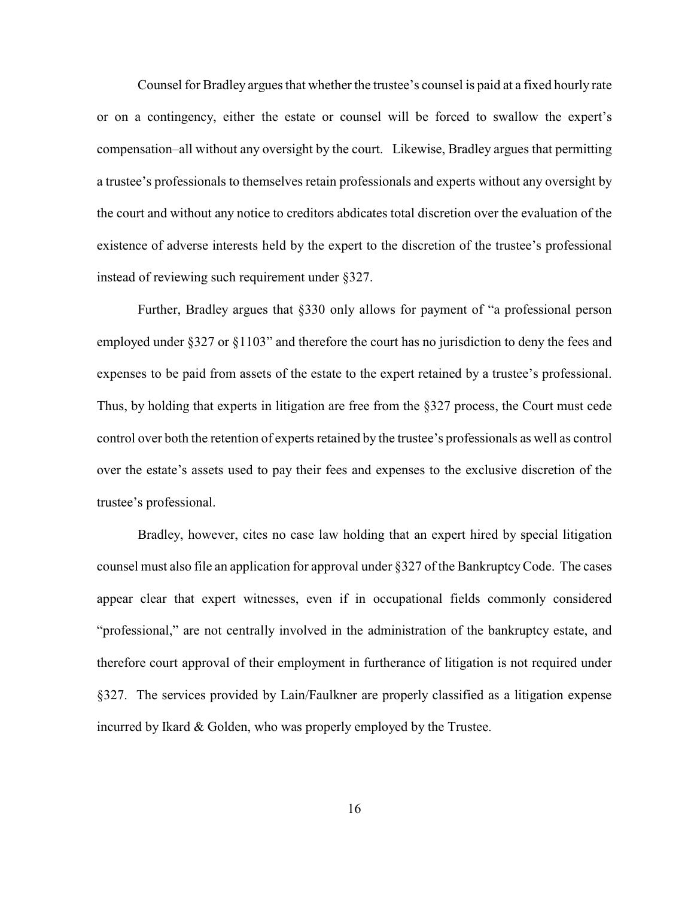Counsel for Bradley argues that whether the trustee's counsel is paid at a fixed hourly rate or on a contingency, either the estate or counsel will be forced to swallow the expert's compensation–all without any oversight by the court. Likewise, Bradley argues that permitting a trustee's professionals to themselves retain professionals and experts without any oversight by the court and without any notice to creditors abdicates total discretion over the evaluation of the existence of adverse interests held by the expert to the discretion of the trustee's professional instead of reviewing such requirement under §327.

Further, Bradley argues that §330 only allows for payment of "a professional person employed under §327 or §1103" and therefore the court has no jurisdiction to deny the fees and expenses to be paid from assets of the estate to the expert retained by a trustee's professional. Thus, by holding that experts in litigation are free from the §327 process, the Court must cede control over both the retention of experts retained by the trustee's professionals as well as control over the estate's assets used to pay their fees and expenses to the exclusive discretion of the trustee's professional.

Bradley, however, cites no case law holding that an expert hired by special litigation counsel must also file an application for approval under §327 of the Bankruptcy Code. The cases appear clear that expert witnesses, even if in occupational fields commonly considered "professional," are not centrally involved in the administration of the bankruptcy estate, and therefore court approval of their employment in furtherance of litigation is not required under §327. The services provided by Lain/Faulkner are properly classified as a litigation expense incurred by Ikard & Golden, who was properly employed by the Trustee.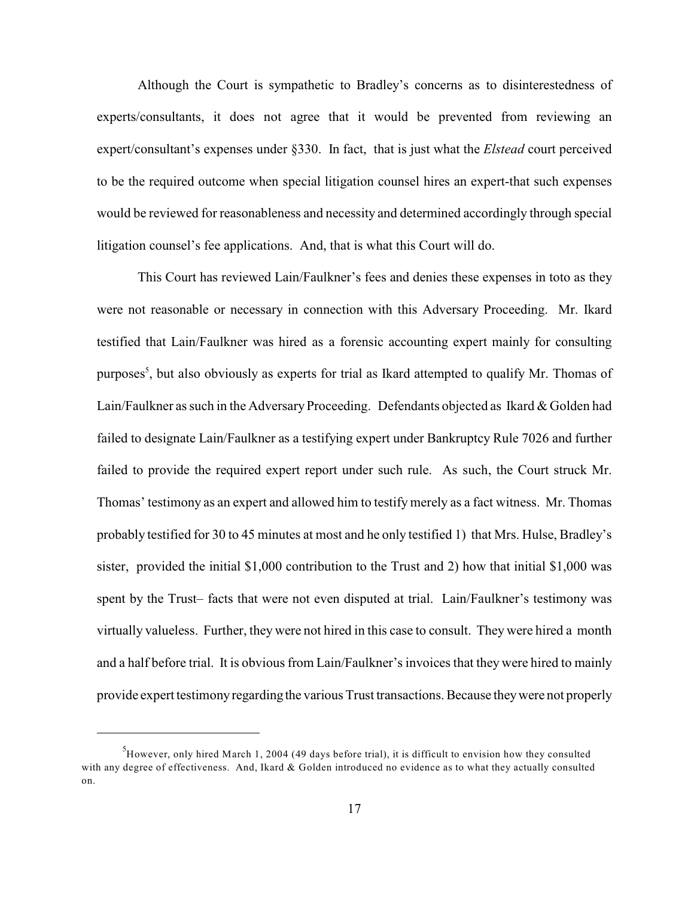Although the Court is sympathetic to Bradley's concerns as to disinterestedness of experts/consultants, it does not agree that it would be prevented from reviewing an expert/consultant's expenses under §330. In fact, that is just what the *Elstead* court perceived to be the required outcome when special litigation counsel hires an expert-that such expenses would be reviewed for reasonableness and necessity and determined accordingly through special litigation counsel's fee applications. And, that is what this Court will do.

This Court has reviewed Lain/Faulkner's fees and denies these expenses in toto as they were not reasonable or necessary in connection with this Adversary Proceeding. Mr. Ikard testified that Lain/Faulkner was hired as a forensic accounting expert mainly for consulting purposes<sup>5</sup>, but also obviously as experts for trial as Ikard attempted to qualify Mr. Thomas of Lain/Faulkner as such in the Adversary Proceeding. Defendants objected as Ikard  $&$  Golden had failed to designate Lain/Faulkner as a testifying expert under Bankruptcy Rule 7026 and further failed to provide the required expert report under such rule. As such, the Court struck Mr. Thomas' testimony as an expert and allowed him to testify merely as a fact witness. Mr. Thomas probably testified for 30 to 45 minutes at most and he only testified 1) that Mrs. Hulse, Bradley's sister, provided the initial \$1,000 contribution to the Trust and 2) how that initial \$1,000 was spent by the Trust– facts that were not even disputed at trial. Lain/Faulkner's testimony was virtually valueless. Further, they were not hired in this case to consult. They were hired a month and a half before trial. It is obvious from Lain/Faulkner's invoices that they were hired to mainly provide expert testimony regarding the various Trust transactions. Because they were not properly

 $H$ <sup>3</sup>However, only hired March 1, 2004 (49 days before trial), it is difficult to envision how they consulted with any degree of effectiveness. And, Ikard & Golden introduced no evidence as to what they actually consulted on.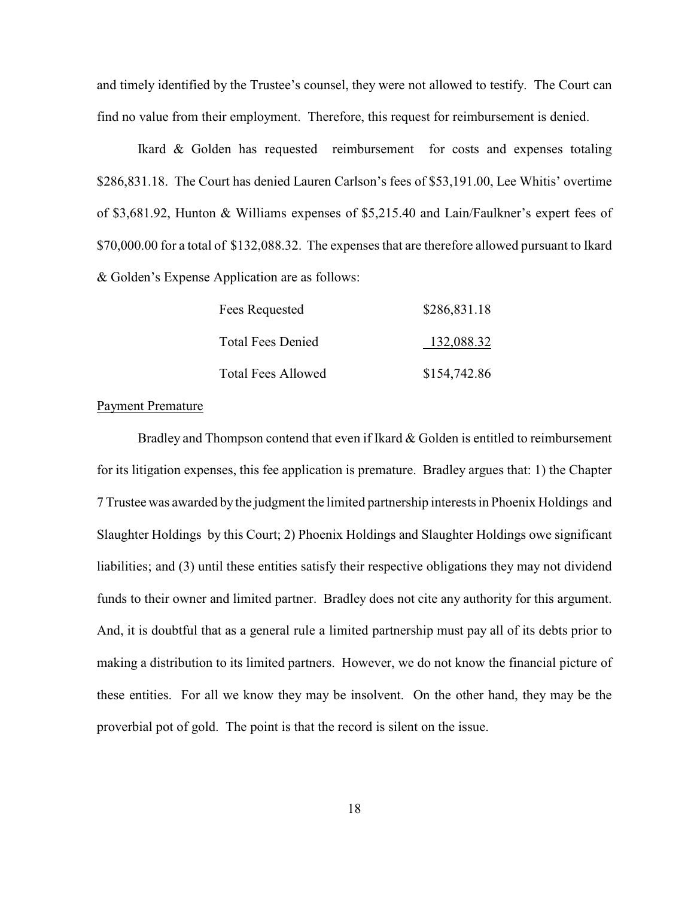and timely identified by the Trustee's counsel, they were not allowed to testify. The Court can find no value from their employment. Therefore, this request for reimbursement is denied.

Ikard & Golden has requested reimbursement for costs and expenses totaling \$286,831.18. The Court has denied Lauren Carlson's fees of \$53,191.00, Lee Whitis' overtime of \$3,681.92, Hunton & Williams expenses of \$5,215.40 and Lain/Faulkner's expert fees of \$70,000.00 for a total of \$132,088.32. The expenses that are therefore allowed pursuant to Ikard & Golden's Expense Application are as follows:

| Fees Requested            | \$286,831.18 |
|---------------------------|--------------|
| <b>Total Fees Denied</b>  | 132,088.32   |
| <b>Total Fees Allowed</b> | \$154,742.86 |

## Payment Premature

Bradley and Thompson contend that even if Ikard & Golden is entitled to reimbursement for its litigation expenses, this fee application is premature. Bradley argues that: 1) the Chapter 7 Trustee was awarded by the judgment the limited partnership interests in Phoenix Holdings and Slaughter Holdings by this Court; 2) Phoenix Holdings and Slaughter Holdings owe significant liabilities; and (3) until these entities satisfy their respective obligations they may not dividend funds to their owner and limited partner. Bradley does not cite any authority for this argument. And, it is doubtful that as a general rule a limited partnership must pay all of its debts prior to making a distribution to its limited partners. However, we do not know the financial picture of these entities. For all we know they may be insolvent. On the other hand, they may be the proverbial pot of gold. The point is that the record is silent on the issue.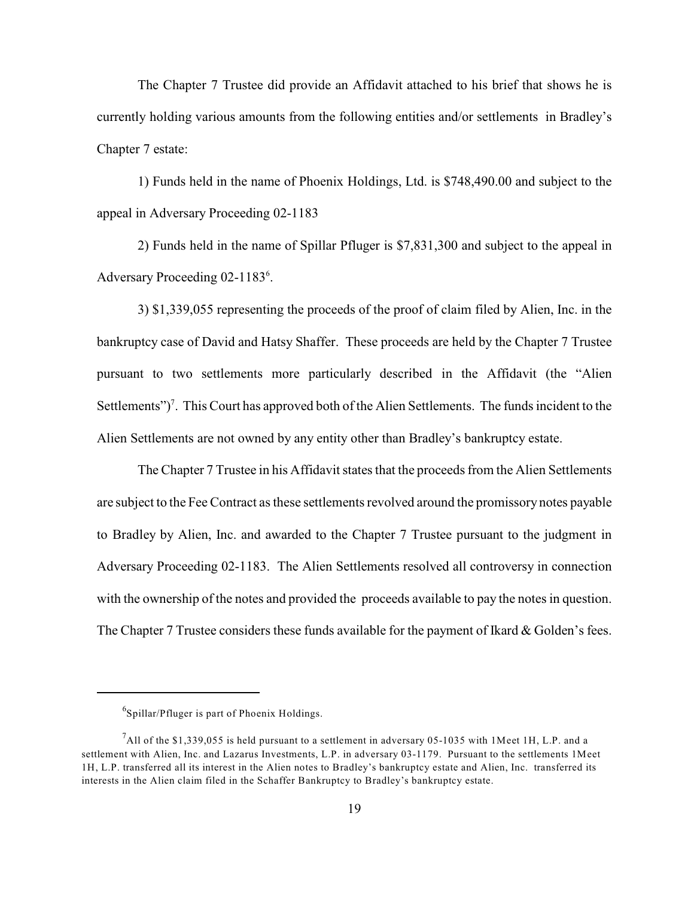The Chapter 7 Trustee did provide an Affidavit attached to his brief that shows he is currently holding various amounts from the following entities and/or settlements in Bradley's Chapter 7 estate:

1) Funds held in the name of Phoenix Holdings, Ltd. is \$748,490.00 and subject to the appeal in Adversary Proceeding 02-1183

2) Funds held in the name of Spillar Pfluger is \$7,831,300 and subject to the appeal in Adversary Proceeding 02-1183<sup>6</sup>.

3) \$1,339,055 representing the proceeds of the proof of claim filed by Alien, Inc. in the bankruptcy case of David and Hatsy Shaffer. These proceeds are held by the Chapter 7 Trustee pursuant to two settlements more particularly described in the Affidavit (the "Alien Settlements")<sup>7</sup>. This Court has approved both of the Alien Settlements. The funds incident to the Alien Settlements are not owned by any entity other than Bradley's bankruptcy estate.

The Chapter 7 Trustee in his Affidavit states that the proceeds from the Alien Settlements are subject to the Fee Contract as these settlements revolved around the promissory notes payable to Bradley by Alien, Inc. and awarded to the Chapter 7 Trustee pursuant to the judgment in Adversary Proceeding 02-1183. The Alien Settlements resolved all controversy in connection with the ownership of the notes and provided the proceeds available to pay the notes in question. The Chapter 7 Trustee considers these funds available for the payment of Ikard & Golden's fees.

 $^6$ Spillar/Pfluger is part of Phoenix Holdings.

 $^7$ All of the \$1,339,055 is held pursuant to a settlement in adversary 05-1035 with 1Meet 1H, L.P. and a settlement with Alien, Inc. and Lazarus Investments, L.P. in adversary 03-1179. Pursuant to the settlements 1Meet 1H, L.P. transferred all its interest in the Alien notes to Bradley's bankruptcy estate and Alien, Inc. transferred its interests in the Alien claim filed in the Schaffer Bankruptcy to Bradley's bankruptcy estate.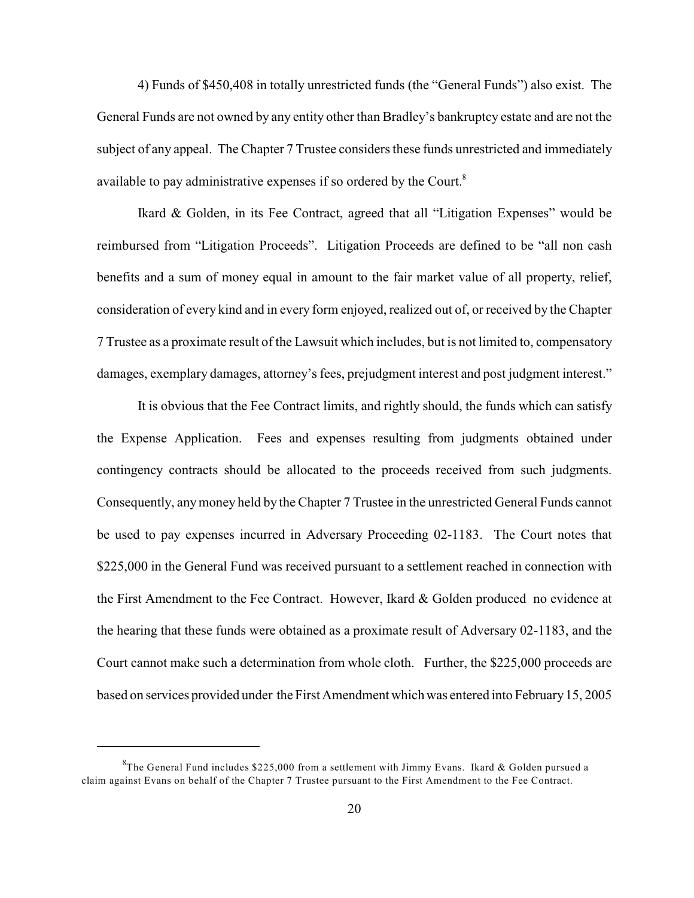4) Funds of \$450,408 in totally unrestricted funds (the "General Funds") also exist. The General Funds are not owned by any entity other than Bradley's bankruptcy estate and are not the subject of any appeal. The Chapter 7 Trustee considers these funds unrestricted and immediately available to pay administrative expenses if so ordered by the Court.<sup>8</sup>

Ikard & Golden, in its Fee Contract, agreed that all "Litigation Expenses" would be reimbursed from "Litigation Proceeds". Litigation Proceeds are defined to be "all non cash benefits and a sum of money equal in amount to the fair market value of all property, relief, consideration of every kind and in every form enjoyed, realized out of, or received by the Chapter 7 Trustee as a proximate result of the Lawsuit which includes, but is not limited to, compensatory damages, exemplary damages, attorney's fees, prejudgment interest and post judgment interest."

It is obvious that the Fee Contract limits, and rightly should, the funds which can satisfy the Expense Application. Fees and expenses resulting from judgments obtained under contingency contracts should be allocated to the proceeds received from such judgments. Consequently, any money held by the Chapter 7 Trustee in the unrestricted General Funds cannot be used to pay expenses incurred in Adversary Proceeding 02-1183. The Court notes that \$225,000 in the General Fund was received pursuant to a settlement reached in connection with the First Amendment to the Fee Contract. However, Ikard & Golden produced no evidence at the hearing that these funds were obtained as a proximate result of Adversary 02-1183, and the Court cannot make such a determination from whole cloth. Further, the \$225,000 proceeds are based on services provided under the First Amendment which was entered into February 15, 2005

 ${}^{8}$ The General Fund includes \$225,000 from a settlement with Jimmy Evans. Ikard & Golden pursued a claim against Evans on behalf of the Chapter 7 Trustee pursuant to the First Amendment to the Fee Contract.